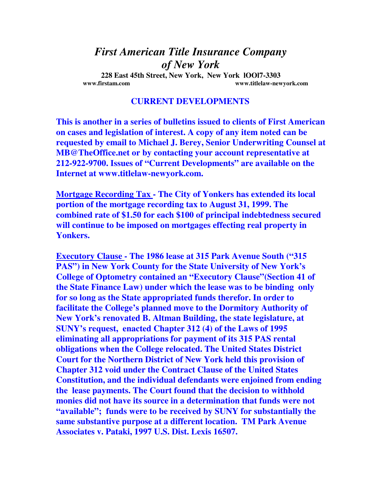## *First American Title Insurance Company of New York*

**228 East 45th Street, New York, New York lOOl7-3303 www.firstam.com www.titlelaw-newyork.com** 

## **CURRENT DEVELOPMENTS**

**This is another in a series of bulletins issued to clients of First American on cases and legislation of interest. A copy of any item noted can be requested by email to Michael J. Berey, Senior Underwriting Counsel at MB@TheOffice.net or by contacting your account representative at 212-922-9700. Issues of "Current Developments" are available on the Internet at www.titlelaw-newyork.com.** 

**Mortgage Recording Tax - The City of Yonkers has extended its local portion of the mortgage recording tax to August 31, 1999. The combined rate of \$1.50 for each \$100 of principal indebtedness secured will continue to be imposed on mortgages effecting real property in Yonkers.** 

**Executory Clause - The 1986 lease at 315 Park Avenue South ("315 PAS") in New York County for the State University of New York's College of Optometry contained an "Executory Clause"(Section 41 of the State Finance Law) under which the lease was to be binding only for so long as the State appropriated funds therefor. In order to facilitate the College's planned move to the Dormitory Authority of New York's renovated B. Altman Building, the state legislature, at SUNY's request, enacted Chapter 312 (4) of the Laws of 1995 eliminating all appropriations for payment of its 315 PAS rental obligations when the College relocated. The United States District Court for the Northern District of New York held this provision of Chapter 312 void under the Contract Clause of the United States Constitution, and the individual defendants were enjoined from ending the lease payments. The Court found that the decision to withhold monies did not have its source in a determination that funds were not "available"; funds were to be received by SUNY for substantially the same substantive purpose at a different location. TM Park Avenue Associates v. Pataki, 1997 U.S. Dist. Lexis 16507.**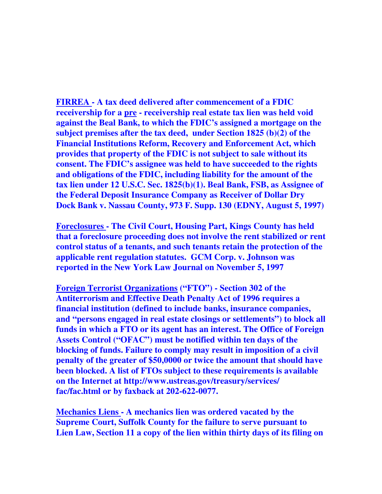**FIRREA - A tax deed delivered after commencement of a FDIC receivership for a pre - receivership real estate tax lien was held void against the Beal Bank, to which the FDIC's assigned a mortgage on the subject premises after the tax deed, under Section 1825 (b)(2) of the Financial Institutions Reform, Recovery and Enforcement Act, which provides that property of the FDIC is not subject to sale without its consent. The FDIC's assignee was held to have succeeded to the rights and obligations of the FDIC, including liability for the amount of the tax lien under 12 U.S.C. Sec. 1825(b)(1). Beal Bank, FSB, as Assignee of the Federal Deposit Insurance Company as Receiver of Dollar Dry Dock Bank v. Nassau County, 973 F. Supp. 130 (EDNY, August 5, 1997)** 

**Foreclosures - The Civil Court, Housing Part, Kings County has held that a foreclosure proceeding does not involve the rent stabilized or rent control status of a tenants, and such tenants retain the protection of the applicable rent regulation statutes. GCM Corp. v. Johnson was reported in the New York Law Journal on November 5, 1997** 

**Foreign Terrorist Organizations ("FTO") - Section 302 of the Antiterrorism and Effective Death Penalty Act of 1996 requires a financial institution (defined to include banks, insurance companies, and "persons engaged in real estate closings or settlements") to block all funds in which a FTO or its agent has an interest. The Office of Foreign Assets Control ("OFAC") must be notified within ten days of the blocking of funds. Failure to comply may result in imposition of a civil penalty of the greater of \$50,0000 or twice the amount that should have been blocked. A list of FTOs subject to these requirements is available on the Internet at http://www.ustreas.gov/treasury/services/ fac/fac.html or by faxback at 202-622-0077.** 

**Mechanics Liens - A mechanics lien was ordered vacated by the Supreme Court, Suffolk County for the failure to serve pursuant to Lien Law, Section 11 a copy of the lien within thirty days of its filing on**